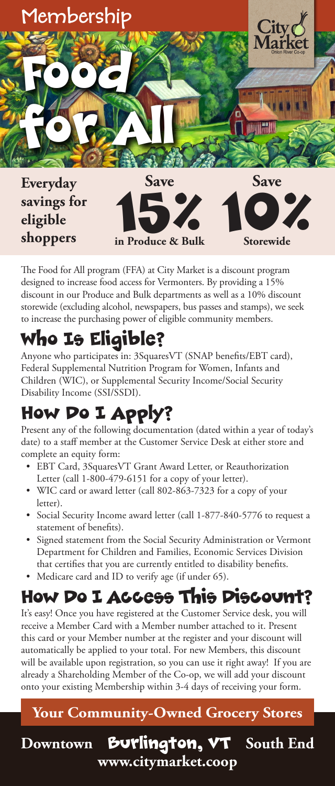

The Food for All program (FFA) at City Market is a discount program designed to increase food access for Vermonters. By providing a 15% discount in our Produce and Bulk departments as well as a 10% discount storewide (excluding alcohol, newspapers, bus passes and stamps), we seek to increase the purchasing power of eligible community members.

# Who Is Eligible?

Anyone who participates in: 3SquaresVT (SNAP benefits/EBT card), Federal Supplemental Nutrition Program for Women, Infants and Children (WIC), or Supplemental Security Income/Social Security Disability Income (SSI/SSDI).

### How Do I Apply?

Present any of the following documentation (dated within a year of today's date) to a staff member at the Customer Service Desk at either store and complete an equity form:

- EBT Card, 3SquaresVT Grant Award Letter, or Reauthorization Letter (call 1-800-479-6151 for a copy of your letter).
- WIC card or award letter (call 802-863-7323 for a copy of your letter).
- Social Security Income award letter (call 1-877-840-5776 to request a statement of benefits).
- Signed statement from the Social Security Administration or Vermont Department for Children and Families, Economic Services Division that certifies that you are currently entitled to disability benefits.
- Medicare card and ID to verify age (if under 65).

### How Do I Access This Discount?

It's easy! Once you have registered at the Customer Service desk, you will receive a Member Card with a Member number attached to it. Present this card or your Member number at the register and your discount will automatically be applied to your total. For new Members, this discount will be available upon registration, so you can use it right away! If you are already a Shareholding Member of the Co-op, we will add your discount onto your existing Membership within 3-4 days of receiving your form.

### **Your Community-Owned Grocery Stores**

**www.citymarket.coop**